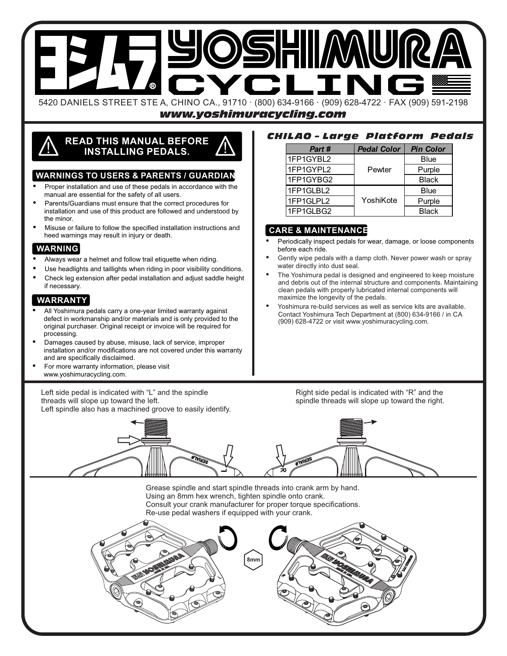

*www.yoshimuracycling.com*

# **READ THIS MANUAL BEFORE** ! **INSTALLING PEDALS.** !

#### **WARNINGS TO USERS & PARENTS / GUARDIAN**

- Proper installation and use of these pedals in accordance with the manual are essential for the safety of all users.
- Parents/Guardians must ensure that the correct procedures for installation and use of this product are followed and understood by the minor.
- Misuse or failure to follow the specified installation instructions and heed warnings may result in injury or death.

## **WARNING**

- Always wear a helmet and follow trail etiquette when riding.
- Use headlights and taillights when riding in poor visibility conditions.
- Check leg extension after pedal installation and adjust saddle height if necessary.

#### **WARRANTY**

- All Yoshimura pedals carry a one-year limited warranty against defect in workmanship and/or materials and is only provided to the original purchaser. Original receipt or invoice will be required for processing.
- Damages caused by abuse, misuse, lack of service, improper installation and/or modifications are not covered under this warranty and are specifically disclaimed.
- For more warranty information, please visit www.yoshimuracycling.com.

Left side pedal is indicated with "L" and the spindle threads will slope up toward the left.

Left spindle also has a machined groove to easily identify.

#### *CHILAO – Large Platform Pedals*

| Part #    | <b>Pedal Color</b> | <b>Pin Color</b> |
|-----------|--------------------|------------------|
| 1FP1GYBL2 | Pewter             | Blue             |
| 1FP1GYPL2 |                    | Purple           |
| 1FP1GYBG2 |                    | <b>Black</b>     |
| 1FP1GLBL2 |                    | Blue             |
| 1FP1GLPL2 | YoshiKote          | Purple           |
| 1FP1GLBG2 |                    | <b>Black</b>     |

### **CARE & MAINTENANCE**

- Periodically inspect pedals for wear, damage, or loose components before each ride.
- Gently wipe pedals with a damp cloth. Never power wash or spray water directly into dust seal.
- The Yoshimura pedal is designed and engineered to keep moisture and debris out of the internal structure and components. Maintaining clean pedals with properly lubricated internal components will maximize the longevity of the pedals.
- Yoshimura re-build services as well as service kits are available. Contact Yoshimura Tech Department at (800) 634-9166 / in CA (909) 628-4722 or visit www.yoshimuracycling.com.

Right side pedal is indicated with "R" and the spindle threads will slope up toward the right.